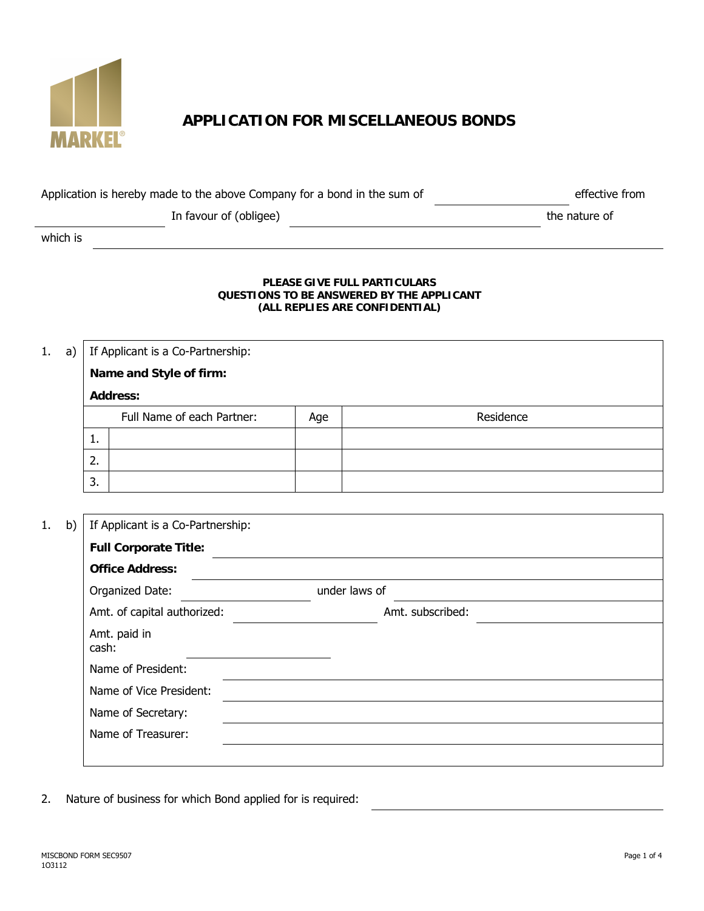

# **APPLICATION FOR MISCELLANEOUS BONDS**

| Application is hereby made to the above Company for a bond in the sum of | effective from |
|--------------------------------------------------------------------------|----------------|
|                                                                          |                |

In favour of (obligee) states and the nature of the nature of

which is

#### **PLEASE GIVE FULL PARTICULARS QUESTIONS TO BE ANSWERED BY THE APPLICANT (ALL REPLIES ARE CONFIDENTIAL)**

1. a) If Applicant is a Co-Partnership: **Name and Style of firm: Address:** Full Name of each Partner:  $\begin{array}{|c|c|c|c|c|} \hline \end{array}$  Age  $\begin{array}{|c|c|c|c|c|c|c|c|c|} \hline \end{array}$  Residence 1. 2. 3.

| 1.<br>b) | If Applicant is a Co-Partnership: |                  |
|----------|-----------------------------------|------------------|
|          | <b>Full Corporate Title:</b>      |                  |
|          | <b>Office Address:</b>            |                  |
|          | Organized Date:                   | under laws of    |
|          | Amt. of capital authorized:       | Amt. subscribed: |
|          | Amt. paid in<br>cash:             |                  |
|          | Name of President:                |                  |
|          | Name of Vice President:           |                  |
|          | Name of Secretary:                |                  |
|          | Name of Treasurer:                |                  |
|          |                                   |                  |

2. Nature of business for which Bond applied for is required: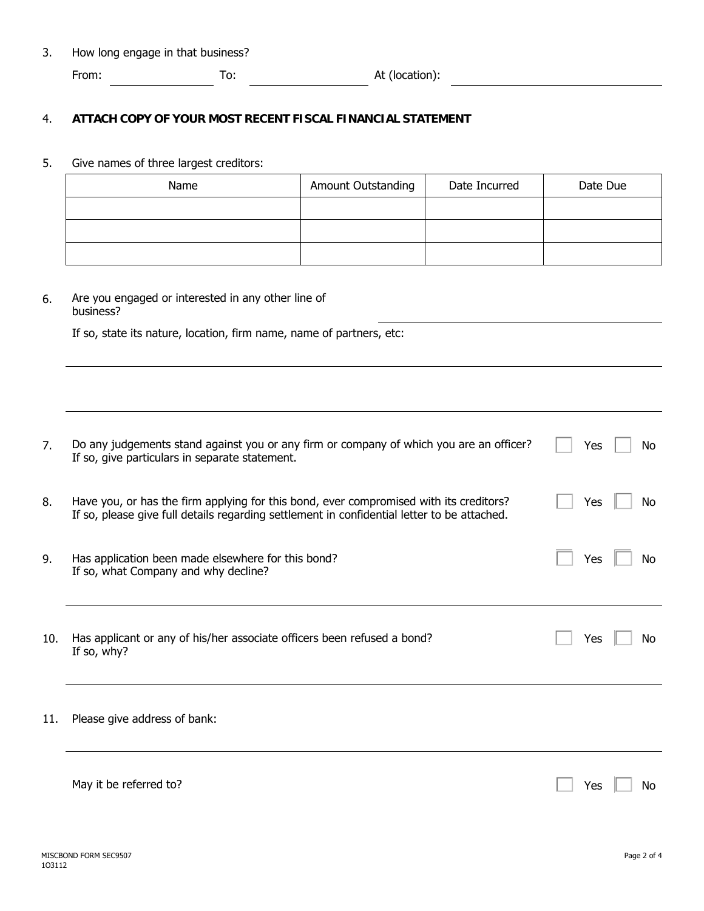3. How long engage in that business?

From: To: To: At (location):

### 4. **ATTACH COPY OF YOUR MOST RECENT FISCAL FINANCIAL STATEMENT**

## 5. Give names of three largest creditors:

| Name | Amount Outstanding | Date Incurred | Date Due |
|------|--------------------|---------------|----------|
|      |                    |               |          |
|      |                    |               |          |
|      |                    |               |          |

6. Are you engaged or interested in any other line of business?

If so, state its nature, location, firm name, name of partners, etc:

| 7.  | Do any judgements stand against you or any firm or company of which you are an officer?<br>If so, give particulars in separate statement.                                             | Yes | No |
|-----|---------------------------------------------------------------------------------------------------------------------------------------------------------------------------------------|-----|----|
| 8.  | Have you, or has the firm applying for this bond, ever compromised with its creditors?<br>If so, please give full details regarding settlement in confidential letter to be attached. | Yes | No |
| 9.  | Has application been made elsewhere for this bond?<br>If so, what Company and why decline?                                                                                            | Yes | No |
| 10. | Has applicant or any of his/her associate officers been refused a bond?<br>If so, why?                                                                                                | Yes | No |
| 11. | Please give address of bank:                                                                                                                                                          |     |    |
|     | May it be referred to?                                                                                                                                                                | Yes | N٥ |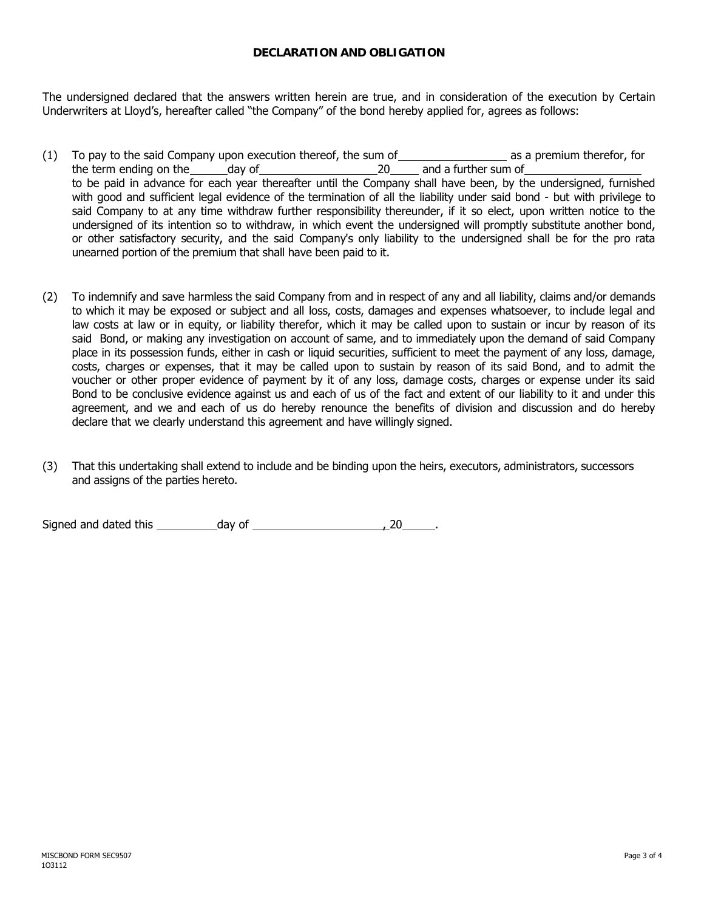### **DECLARATION AND OBLIGATION**

The undersigned declared that the answers written herein are true, and in consideration of the execution by Certain Underwriters at Lloyd's, hereafter called "the Company" of the bond hereby applied for, agrees as follows:

- (1) To pay to the said Company upon execution thereof, the sum of  $\Box$  as a premium therefor, for the term ending on the day of 20 and a further sum of to be paid in advance for each year thereafter until the Company shall have been, by the undersigned, furnished with good and sufficient legal evidence of the termination of all the liability under said bond - but with privilege to said Company to at any time withdraw further responsibility thereunder, if it so elect, upon written notice to the undersigned of its intention so to withdraw, in which event the undersigned will promptly substitute another bond, or other satisfactory security, and the said Company's only liability to the undersigned shall be for the pro rata unearned portion of the premium that shall have been paid to it.
- (2) To indemnify and save harmless the said Company from and in respect of any and all liability, claims and/or demands to which it may be exposed or subject and all loss, costs, damages and expenses whatsoever, to include legal and law costs at law or in equity, or liability therefor, which it may be called upon to sustain or incur by reason of its said Bond, or making any investigation on account of same, and to immediately upon the demand of said Company place in its possession funds, either in cash or liquid securities, sufficient to meet the payment of any loss, damage, costs, charges or expenses, that it may be called upon to sustain by reason of its said Bond, and to admit the voucher or other proper evidence of payment by it of any loss, damage costs, charges or expense under its said Bond to be conclusive evidence against us and each of us of the fact and extent of our liability to it and under this agreement, and we and each of us do hereby renounce the benefits of division and discussion and do hereby declare that we clearly understand this agreement and have willingly signed.
- (3) That this undertaking shall extend to include and be binding upon the heirs, executors, administrators, successors and assigns of the parties hereto.

Signed and dated this day of , 20 .